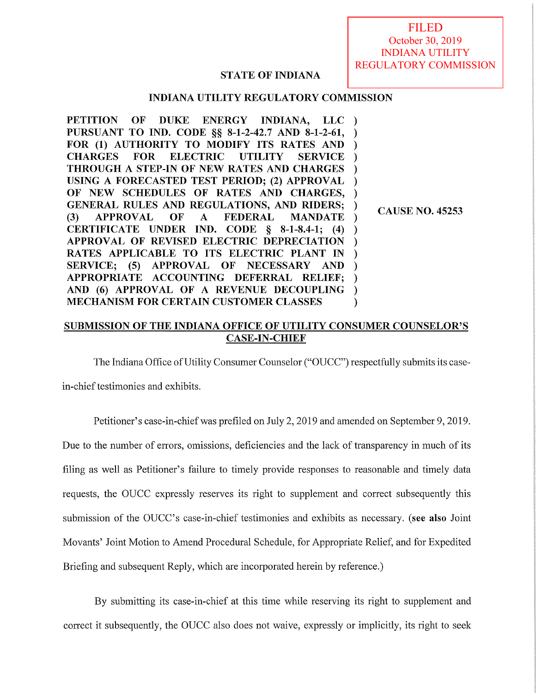FILED October 30, 2019 INDIANA UTILITY REGULATORY COMMISSION

# **STATE OF INDIANA**

# **INDIANA UTILITY REGULATORY COMMISSION**

**PETITION OF DUKE ENERGY INDIANA, LLC** ) **PURSUANT TO IND. CODE** §§ **8-1-2-42.7 AND 8-1-2-61,** ) **FOR (1) AUTHORITY TO MODIFY ITS RATES AND** ) **CHARGES FOR ELECTRIC UTILITY SERVICE** ) **THROUGH A STEP-IN OF NEW RATES AND CHARGES** ) **USING A FORECASTED TEST PERIOD; (2) APPROVAL** ) **OF NEW SCHEDULES OF RATES AND CHARGES,** ) **GENERAL RULES AND REGULATIONS, AND RIDERS;** ) **(3) APPROVAL OF A FEDERAL MANDATE** ) **CERTIFICATE UNDER IND. CODE** § **8-1-8.4-1; (4)** ) **APPROVAL OF REVISED ELECTRIC DEPRECIATION** ) **RATES APPLICABLE TO ITS ELECTRIC PLANT IN** ) **SERVICE; (5) APPROVAL OF NECESSARY AND** ) **APPROPRIATE ACCOUNTING DEFERRAL RELIEF;** ) **AND (6) APPROVAL OF A REVENUE DECOUPLING** ) **MECHANISM FOR CERTAIN CUSTOMER CLASSES** )

**CAUSE NO. 45253** 

# **SUBMISSION OF THE INDIANA OFFICE OF UTILITY CONSUMER COUNSELOR'S CASE-IN-CHIEF**

The Indiana Office of Utility Consumer Counselor ("OUCC") respectfully submits its case-

in-chief testimonies and exhibits.

Petitioner's case-in-chief was prefiled on July 2, 2019 and amended on September 9, 2019.

Due to the number of errors, omissions, deficiencies and the lack of transparency in much of its filing as well as Petitioner's failure to timely provide responses to reasonable and timely data requests, the OUCC expressly reserves its right to supplement and correct subsequently this submission of the OUCC's case-in-chief testimonies and exhibits as necessary. **(see also** Joint Movants' Joint Motion to Amend Procedural Schedule, for Appropriate Relief, and for Expedited Briefing and subsequent Reply, which are incorporated herein by reference.)

By submitting its case-in-chief at this time while reserving its right to supplement and correct it subsequently, the OUCC also does not waive, expressly or implicitly, its right to seek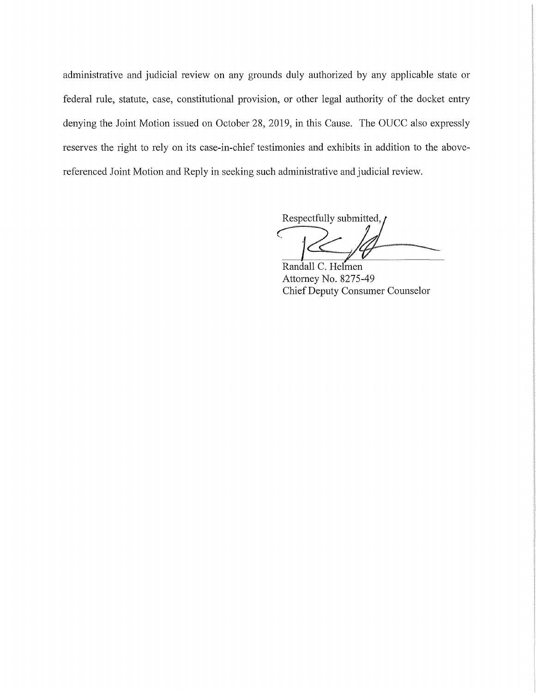administrative and judicial review on any grounds duly authorized by any applicable state or federal rule, statute, case, constitutional provision, or other legal authority of the docket entry denying the Joint Motion issued on October 28, 2019, in this Cause. The OUCC also expressly reserves the right to rely on its case-in-chief testimonies and exhibits in addition to the abovereferenced Joint Motion and Reply in seeking such administrative and judicial review.

Respectfully submitted, **C**<br>Consider the contract of the contract of the contract of the contract of the contract of the contract of the contract of the contract of the contract of the contract of the contract of the contract of the contract of t

Randall C. Helinen Attorney No. 8275-49 Chief Deputy Consumer Counselor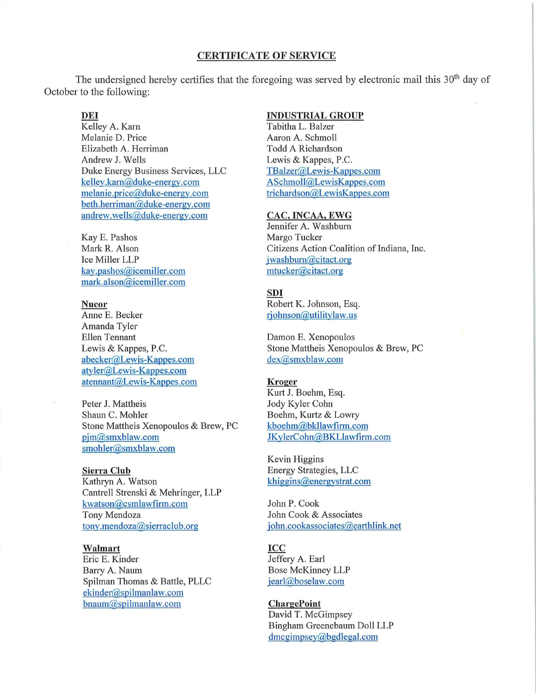### **CERTIFICATE OF SERVICE**

The undersigned hereby certifies that the foregoing was served by electronic mail this  $30<sup>th</sup>$  day of October to the following:

# **DEi**

Kelley A. Karn Melanie D. Price Elizabeth A. Herriman Andrew J. Wells Duke Energy Business Services, LLC kelley.kam@duke-energy.com melanie.price@duke-energy.com beth.herriman@duke-energy.com andrew.wells@duke-energy.com

Kay E. Pashos Mark R. Alson Ice Miller LLP kay.pashos@icemiller.com mark.alson@icemiller.com

### **Nucor**

Anne E. Becker Amanda Tyler Ellen Tennant Lewis & Kappes, P.C. abecker@Lewis-Kappes.com atyler@Lewis-Kappes.com atennant@Lewis-Kappes.com

Peter J. Mattheis Shaun C. Mohler Stone Mattheis Xenopoulos & Brew, PC pjm@smxblaw.com smohler@smxblaw.com

### **Sierra Club**

Kathryn A. Watson Cantrell Strenski & Mehringer, LLP kwatson@csmlawfirm.com Tony Mendoza tony.mendoza@sierraclub.org

### **Walmart**

Eric E. Kinder Barry A. Naum Spilman Thomas & Battle, PLLC ekinder@spilmanlaw.com bnaum@spilmanlaw.com

### **INDUSTRIAL GROUP**

Tabitha L. Balzer Aaron A. Schmoll Todd A Richardson Lewis & Kappes, P.C. TBalzer@Lewis-Kappes.com ASchmoll@LewisKappes.com trichardson@LewisKappes.com

#### **CAC, INCAA, EWG**

Jennifer A. Washburn Margo Tucker Citizens Action Coalition of Indiana, Inc. jwashbum@citact.org mtucker@citact.org

# **SDI**

Robert K. Johnson, Esq. rjohnson@utilitylaw.us

Damon E. Xenopoulos Stone Mattheis Xenopoulos & Brew, PC dex@smxblaw.com

### **Kroger**

Kurt J. Boehm, Esq. Jody Kyler Cohn Boehm, Kurtz & Lowry kboehm@bkllawfirm.com JKylerCohn@BKLlawfirm.com

Kevin Higgins Energy Strategies, LLC khiggins@energystrat.com

John P. Cook John Cook & Associates john.cookassociates@earthlink.net

#### **ICC**

Jeffery A. Earl Bose McKinney LLP jearl@boselaw.com

#### **ChargePoint**

David T. McGimpsey Bingham Greenebaum Doll LLP dmcgimpsey@bgdlegal.com